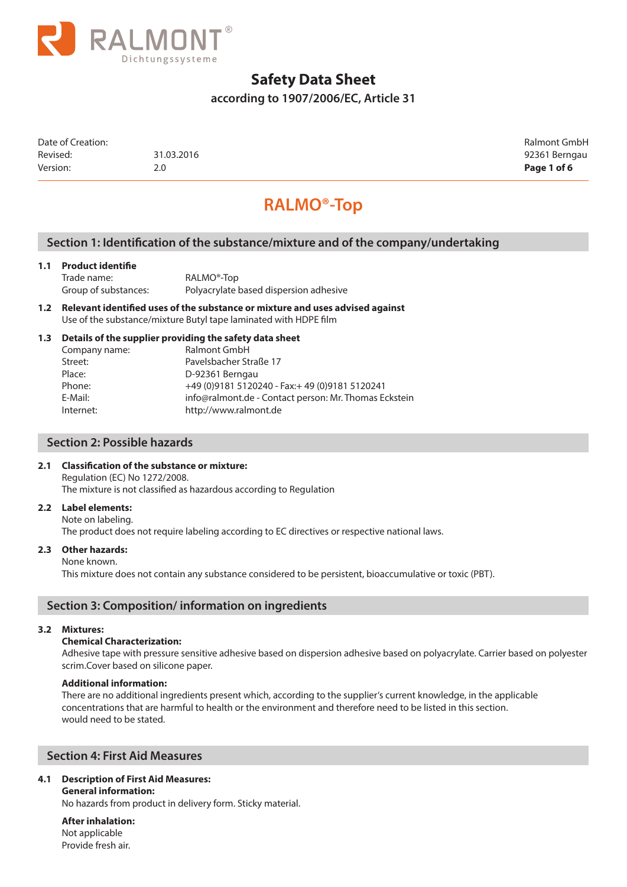

**according to 1907/2006/EC, Article 31**

Date of Creation: Ralmont GmbH Revised: 31.03.2016 31.03.2016 92361 Berngau Version: 2.0 **Page 1 of 6**

# **RALMO®-Top**

## **Section 1: Identification of the substance/mixture and of the company/undertaking**

#### **1.1 Product identifie**

| Trade name:          | RALMO <sup>®</sup> -Top                |
|----------------------|----------------------------------------|
| Group of substances: | Polyacrylate based dispersion adhesive |

**1.2 Relevant identified uses of the substance or mixture and uses advised against**  Use of the substance/mixture Butyl tape laminated with HDPE film

#### **1.3 Details of the supplier providing the safety data sheet**

| Company name: | Ralmont GmbH                                          |
|---------------|-------------------------------------------------------|
| Street:       | Pavelsbacher Straße 17                                |
| Place:        | D-92361 Berngau                                       |
| Phone:        | +49 (0) 9181 5120240 - Fax: + 49 (0) 9181 5120241     |
| E-Mail:       | info@ralmont.de - Contact person: Mr. Thomas Eckstein |
| Internet:     | http://www.ralmont.de                                 |
|               |                                                       |

## **Section 2: Possible hazards**

#### **2.1 Classification of the substance or mixture:**

Regulation (EC) No 1272/2008. The mixture is not classified as hazardous according to Regulation

#### **2.2 Label elements:**

Note on labeling. The product does not require labeling according to EC directives or respective national laws.

#### **2.3 Other hazards:**

#### None known.

This mixture does not contain any substance considered to be persistent, bioaccumulative or toxic (PBT).

## **Section 3: Composition/ information on ingredients**

#### **3.2 Mixtures:**

#### **Chemical Characterization:**

Adhesive tape with pressure sensitive adhesive based on dispersion adhesive based on polyacrylate. Carrier based on polyester scrim.Cover based on silicone paper.

#### **Additional information:**

There are no additional ingredients present which, according to the supplier's current knowledge, in the applicable concentrations that are harmful to health or the environment and therefore need to be listed in this section. would need to be stated.

## **Section 4: First Aid Measures**

## **4.1 Description of First Aid Measures:**

#### **General information:**

No hazards from product in delivery form. Sticky material.

**After inhalation:** Not applicable Provide fresh air.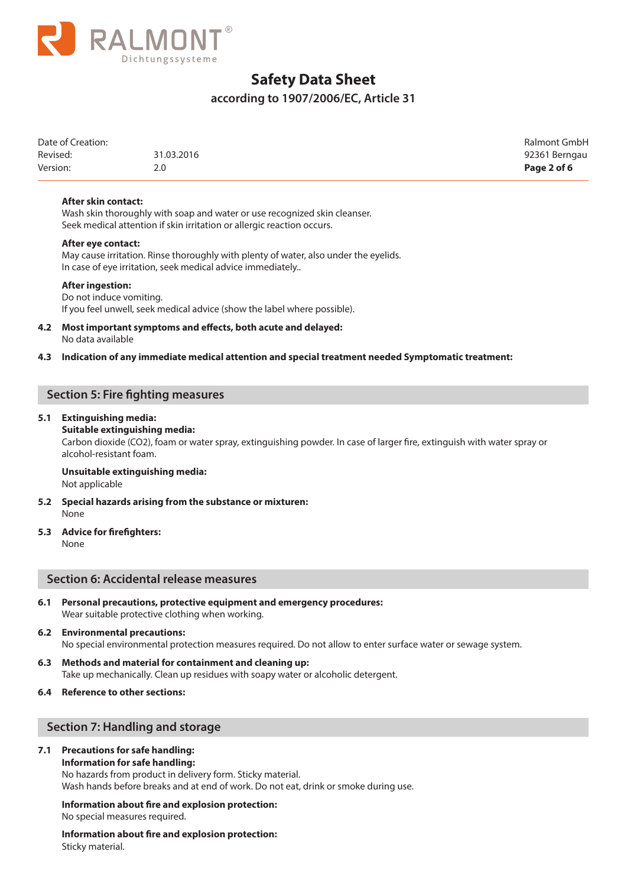

## **according to 1907/2006/EC, Article 31**

| Date of Creation: |            | Ralmont GmbH  |
|-------------------|------------|---------------|
| Revised:          | 31.03.2016 | 92361 Berngau |
| Version:          | 2.0        | Page 2 of 6   |

#### **After skin contact:**

 Wash skin thoroughly with soap and water or use recognized skin cleanser. Seek medical attention if skin irritation or allergic reaction occurs.

#### **After eye contact:**

 May cause irritation. Rinse thoroughly with plenty of water, also under the eyelids. In case of eye irritation, seek medical advice immediately..

#### **After ingestion:**

#### Do not induce vomiting.

If you feel unwell, seek medical advice (show the label where possible).

#### **4.2 Most important symptoms and effects, both acute and delayed:** No data available

#### **4.3 Indication of any immediate medical attention and special treatment needed Symptomatic treatment:**

## **Section 5: Fire fighting measures**

#### **5.1 Extinguishing media:**

#### **Suitable extinguishing media:**

Carbon dioxide (CO2), foam or water spray, extinguishing powder. In case of larger fire, extinguish with water spray or alcohol-resistant foam.

#### **Unsuitable extinguishing media:** Not applicable

- **5.2 Special hazards arising from the substance or mixturen:** None
- **5.3 Advice for firefighters:** None

#### **Section 6: Accidental release measures**

**6.1 Personal precautions, protective equipment and emergency procedures:** Wear suitable protective clothing when working.

## **6.2 Environmental precautions:** No special environmental protection measures required. Do not allow to enter surface water or sewage system.

**6.3 Methods and material for containment and cleaning up:** Take up mechanically. Clean up residues with soapy water or alcoholic detergent.

#### **6.4 Reference to other sections:**

#### **Section 7: Handling and storage**

#### **7.1 Precautions for safe handling:**

#### **Information for safe handling:**

No hazards from product in delivery form. Sticky material. Wash hands before breaks and at end of work. Do not eat, drink or smoke during use.

#### **Information about fire and explosion protection:**

No special measures required.

**Information about fire and explosion protection:** Sticky material.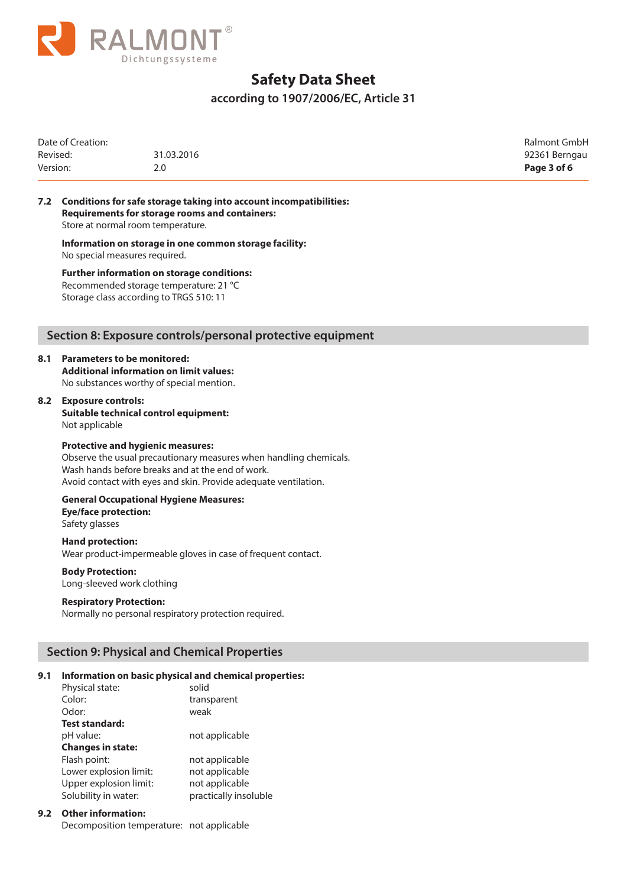

## **according to 1907/2006/EC, Article 31**

| Date of Creation:<br>Revised: | 31.03.2016 | Ralmont GmbH<br>92361 Berngau |
|-------------------------------|------------|-------------------------------|
| Version:                      | 2.0        | Page 3 of 6                   |

**7.2 Conditions for safe storage taking into account incompatibilities: Requirements for storage rooms and containers:** Store at normal room temperature.

**Information on storage in one common storage facility:** No special measures required.

**Further information on storage conditions:** Recommended storage temperature: 21 °C Storage class according to TRGS 510: 11

## **Section 8: Exposure controls/personal protective equipment**

## **8.1 Parameters to be monitored:**

**Additional information on limit values:**  No substances worthy of special mention.

#### **8.2 Exposure controls:**

**Suitable technical control equipment:** Not applicable

#### **Protective and hygienic measures:**

Observe the usual precautionary measures when handling chemicals. Wash hands before breaks and at the end of work. Avoid contact with eyes and skin. Provide adequate ventilation.

#### **General Occupational Hygiene Measures: Eye/face protection:**

Safety glasses

#### **Hand protection:** Wear product-impermeable gloves in case of frequent contact.

**Body Protection:** Long-sleeved work clothing

#### **Respiratory Protection:**

Normally no personal respiratory protection required.

## **Section 9: Physical and Chemical Properties**

#### **9.1 Information on basic physical and chemical properties:**

| Physical state:          | solid                 |
|--------------------------|-----------------------|
| Color:                   | transparent           |
| Odor:                    | weak                  |
| <b>Test standard:</b>    |                       |
| pH value:                | not applicable        |
| <b>Changes in state:</b> |                       |
| Flash point:             | not applicable        |
| Lower explosion limit:   | not applicable        |
| Upper explosion limit:   | not applicable        |
| Solubility in water:     | practically insoluble |

## **9.2 Other information:**

Decomposition temperature: not applicable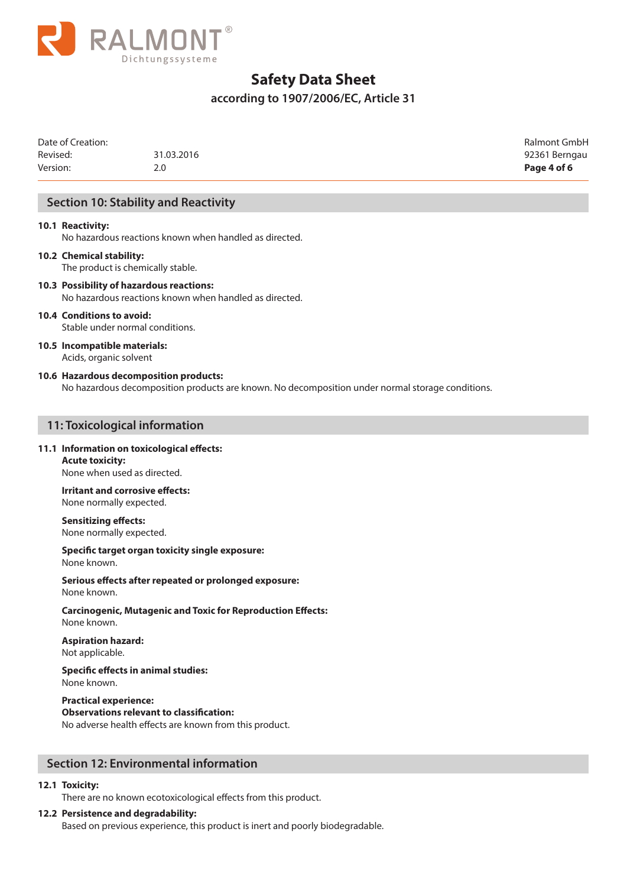

## **according to 1907/2006/EC, Article 31**

| Date of Creation: |            | Ralmont GmbH  |
|-------------------|------------|---------------|
| Revised:          | 31.03.2016 | 92361 Berngau |
| Version:          | 2.0        | Page 4 of 6   |

## **Section 10: Stability and Reactivity**

#### **10.1 Reactivity:**

No hazardous reactions known when handled as directed.

#### **10.2 Chemical stability:** The product is chemically stable.

**10.3 Possibility of hazardous reactions:** No hazardous reactions known when handled as directed.

#### **10.4 Conditions to avoid:**

Stable under normal conditions.

#### **10.5 Incompatible materials:** Acids, organic solvent

#### **10.6 Hazardous decomposition products:**

No hazardous decomposition products are known. No decomposition under normal storage conditions.

#### **11: Toxicological information**

#### **11.1 Information on toxicological effects:**

**Acute toxicity:** None when used as directed.

**Irritant and corrosive effects:** None normally expected.

**Sensitizing effects:** None normally expected.

**Specific target organ toxicity single exposure:** None known.

**Serious effects after repeated or prolonged exposure:** None known.

**Carcinogenic, Mutagenic and Toxic for Reproduction Effects:** None known.

**Aspiration hazard:** Not applicable.

#### **Specific effects in animal studies:** None known.

**Practical experience: Observations relevant to classification:** No adverse health effects are known from this product.

## **Section 12: Environmental information**

#### **12.1 Toxicity:**

There are no known ecotoxicological effects from this product.

#### **12.2 Persistence and degradability:**

Based on previous experience, this product is inert and poorly biodegradable.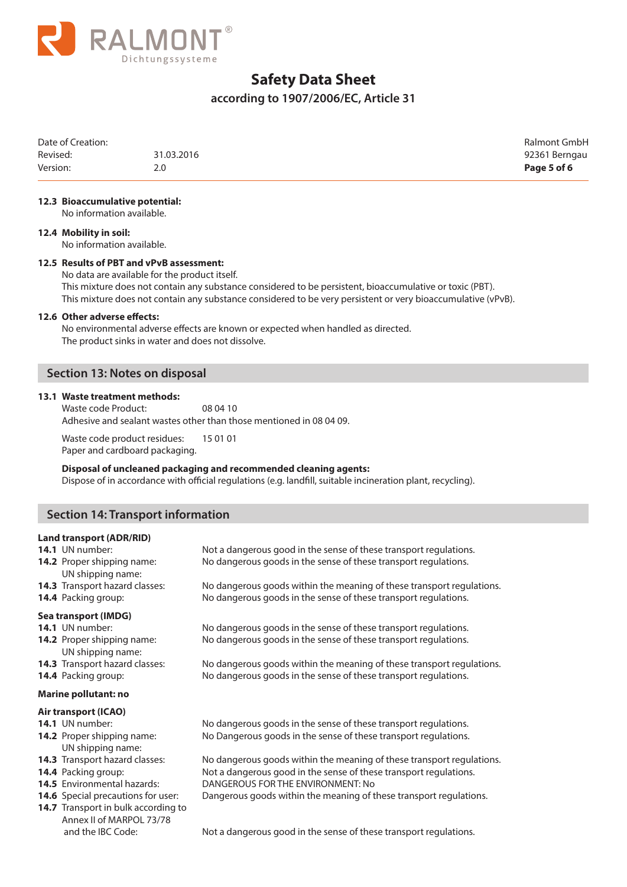

## **according to 1907/2006/EC, Article 31**

| Date of Creation: |            | Ralmont GmbH  |
|-------------------|------------|---------------|
| Revised:          | 31.03.2016 | 92361 Berngau |
| Version:          | 2.0        | Page 5 of 6   |

#### **12.3 Bioaccumulative potential:**

No information available.

#### **12.4 Mobility in soil:**

No information available.

#### **12.5 Results of PBT and vPvB assessment:**

No data are available for the product itself.

This mixture does not contain any substance considered to be persistent, bioaccumulative or toxic (PBT). This mixture does not contain any substance considered to be very persistent or very bioaccumulative (vPvB).

#### **12.6 Other adverse effects:**

No environmental adverse effects are known or expected when handled as directed. The product sinks in water and does not dissolve.

## **Section 13: Notes on disposal**

#### **13.1 Waste treatment methods:**

Waste code Product: 08 04 10 Adhesive and sealant wastes other than those mentioned in 08 04 09.

Waste code product residues: 15 01 01 Paper and cardboard packaging.

#### **Disposal of uncleaned packaging and recommended cleaning agents:** Dispose of in accordance with official regulations (e.g. landfill, suitable incineration plant, recycling).

## **Section 14: Transport information**

#### **Land transport (ADR/RID)**

| 14.1 UN number:<br>14.2 Proper shipping name:<br>UN shipping name: | Not a dangerous good in the sense of these transport regulations.<br>No dangerous goods in the sense of these transport regulations.     |
|--------------------------------------------------------------------|------------------------------------------------------------------------------------------------------------------------------------------|
| <b>14.3</b> Transport hazard classes:<br>14.4 Packing group:       | No dangerous goods within the meaning of these transport regulations.<br>No dangerous goods in the sense of these transport regulations. |
| Sea transport (IMDG)<br>14.1 UN number:                            | No dangerous goods in the sense of these transport regulations.                                                                          |

**14.2** Proper shipping name: No dangerous goods in the sense of these transport regulations. UN shipping name:

**14.3** Transport hazard classes: No dangerous goods within the meaning of these transport regulations. **14.4** Packing group: No dangerous goods in the sense of these transport regulations.

#### **Marine pollutant: no**

#### **Air transport (ICAO)**

UN shipping name:

- 
- 
- 
- 
- 14.7 Transport in bulk according to Annex II of MARPOL 73/78

**14.1** UN number: No dangerous goods in the sense of these transport regulations. **14.2** Proper shipping name: No Dangerous goods in the sense of these transport regulations.

**14.3** Transport hazard classes: No dangerous goods within the meaning of these transport regulations. **14.4** Packing group: Not a dangerous good in the sense of these transport regulations. **14.5** Environmental hazards: DANGEROUS FOR THE ENVIRONMENT: No

**14.6** Special precautions for user: Dangerous goods within the meaning of these transport regulations.

and the IBC Code: Not a dangerous good in the sense of these transport regulations.